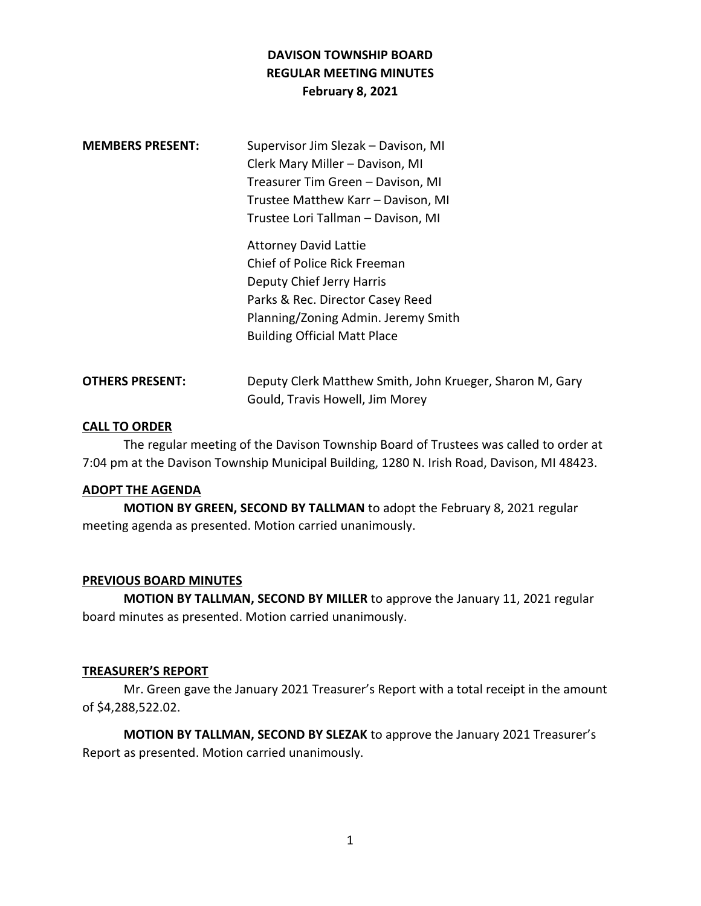# **DAVISON TOWNSHIP BOARD REGULAR MEETING MINUTES February 8, 2021**

| <b>MEMBERS PRESENT:</b> | Supervisor Jim Slezak - Davison, MI<br>Clerk Mary Miller - Davison, MI<br>Treasurer Tim Green - Davison, MI<br>Trustee Matthew Karr - Davison, MI                                                                                                 |
|-------------------------|---------------------------------------------------------------------------------------------------------------------------------------------------------------------------------------------------------------------------------------------------|
|                         | Trustee Lori Tallman - Davison, MI<br><b>Attorney David Lattie</b><br>Chief of Police Rick Freeman<br>Deputy Chief Jerry Harris<br>Parks & Rec. Director Casey Reed<br>Planning/Zoning Admin. Jeremy Smith<br><b>Building Official Matt Place</b> |

| <b>OTHERS PRESENT:</b> | Deputy Clerk Matthew Smith, John Krueger, Sharon M, Gary |
|------------------------|----------------------------------------------------------|
|                        | Gould, Travis Howell, Jim Morey                          |

#### **CALL TO ORDER**

The regular meeting of the Davison Township Board of Trustees was called to order at 7:04 pm at the Davison Township Municipal Building, 1280 N. Irish Road, Davison, MI 48423.

# **ADOPT THE AGENDA**

**MOTION BY GREEN, SECOND BY TALLMAN** to adopt the February 8, 2021 regular meeting agenda as presented. Motion carried unanimously.

# **PREVIOUS BOARD MINUTES**

**MOTION BY TALLMAN, SECOND BY MILLER** to approve the January 11, 2021 regular board minutes as presented. Motion carried unanimously.

#### **TREASURER'S REPORT**

Mr. Green gave the January 2021 Treasurer's Report with a total receipt in the amount of \$4,288,522.02.

**MOTION BY TALLMAN, SECOND BY SLEZAK** to approve the January 2021 Treasurer's Report as presented. Motion carried unanimously.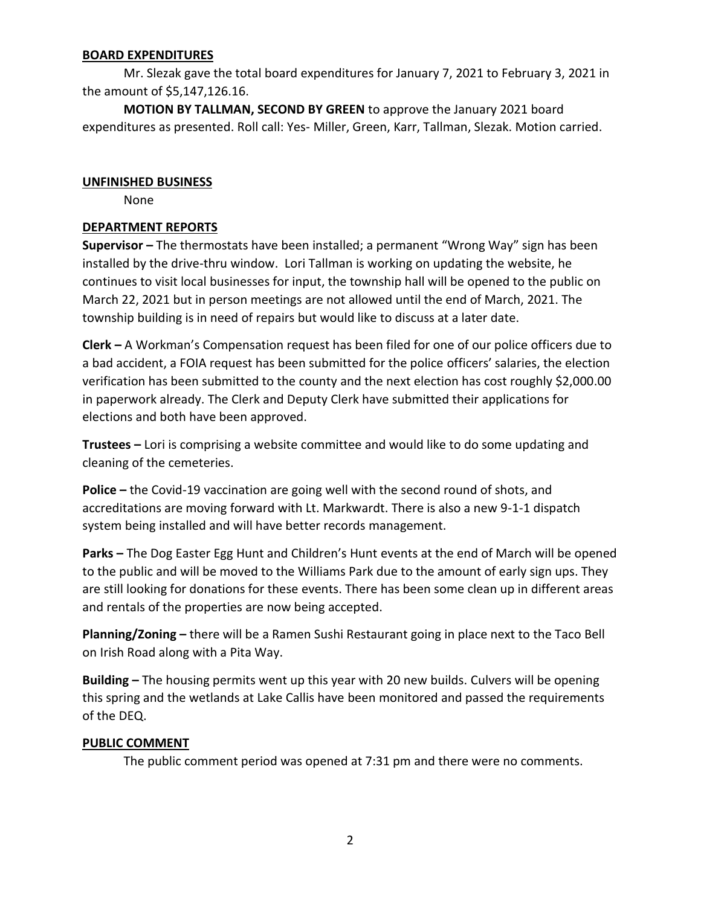#### **BOARD EXPENDITURES**

Mr. Slezak gave the total board expenditures for January 7, 2021 to February 3, 2021 in the amount of \$5,147,126.16.

**MOTION BY TALLMAN, SECOND BY GREEN** to approve the January 2021 board expenditures as presented. Roll call: Yes- Miller, Green, Karr, Tallman, Slezak. Motion carried.

#### **UNFINISHED BUSINESS**

None

#### **DEPARTMENT REPORTS**

**Supervisor –** The thermostats have been installed; a permanent "Wrong Way" sign has been installed by the drive-thru window. Lori Tallman is working on updating the website, he continues to visit local businesses for input, the township hall will be opened to the public on March 22, 2021 but in person meetings are not allowed until the end of March, 2021. The township building is in need of repairs but would like to discuss at a later date.

**Clerk –** A Workman's Compensation request has been filed for one of our police officers due to a bad accident, a FOIA request has been submitted for the police officers' salaries, the election verification has been submitted to the county and the next election has cost roughly \$2,000.00 in paperwork already. The Clerk and Deputy Clerk have submitted their applications for elections and both have been approved.

**Trustees –** Lori is comprising a website committee and would like to do some updating and cleaning of the cemeteries.

**Police –** the Covid-19 vaccination are going well with the second round of shots, and accreditations are moving forward with Lt. Markwardt. There is also a new 9-1-1 dispatch system being installed and will have better records management.

**Parks –** The Dog Easter Egg Hunt and Children's Hunt events at the end of March will be opened to the public and will be moved to the Williams Park due to the amount of early sign ups. They are still looking for donations for these events. There has been some clean up in different areas and rentals of the properties are now being accepted.

**Planning/Zoning –** there will be a Ramen Sushi Restaurant going in place next to the Taco Bell on Irish Road along with a Pita Way.

**Building –** The housing permits went up this year with 20 new builds. Culvers will be opening this spring and the wetlands at Lake Callis have been monitored and passed the requirements of the DEQ.

# **PUBLIC COMMENT**

The public comment period was opened at 7:31 pm and there were no comments.